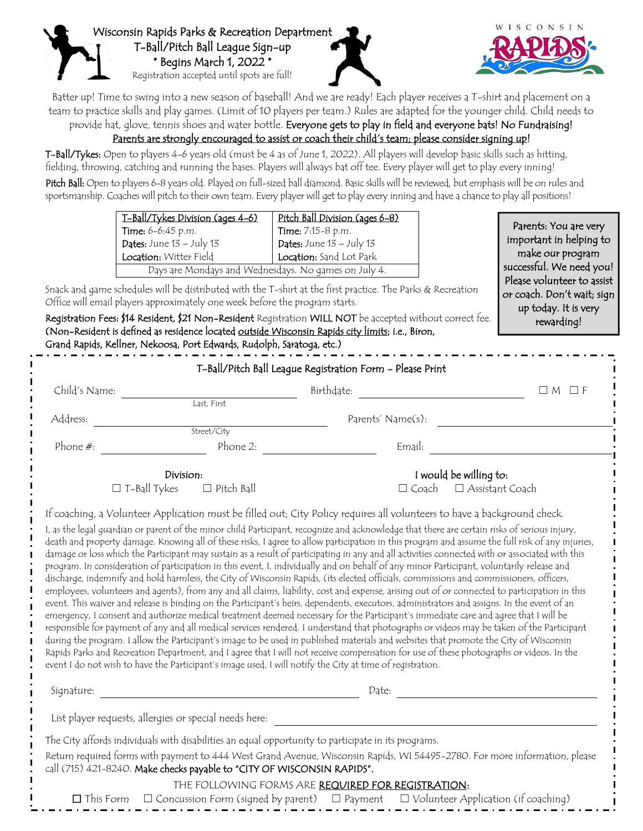



Batter up! Time to swing into a new season of baseball! And we are ready! Each player receives a T-shirt and placement on a team to practice skills and play games. (Limit of 10 players per team.) Rules are adapted for the younger child. Child needs to provide hat, glove, tennis shoes and water bottle. Everyone gets to play in field and everyone bats! No Fundraising!

Parents are strongly encouraged to assist or coach their child's team; please consider signing up!

T-Ball/Tykes: Open to players 4-6 years old (must be 4 as of June 1, 2022). All players will develop basic skills such as hitting, fielding, throwing, catching and running the bases. Players will always bat off tee. Every player will get to play every inning! Pitch Ball: Open to players 6-8 years old. Played on full-sized ball diamond. Basic skills will be reviewed, but emphasis will be on rules and sportsmanship. Coaches will pitch to their own team. Every player will get to play every inning and have a chance to play all positions!

| T-Ball/Tykes Division (ages 4-6)                     | Pitch Ball Division (ages 6-8) |
|------------------------------------------------------|--------------------------------|
| Time: 6-6:45 p.m.                                    | Time: 7:15-8 p.m.              |
| Dates: June $13 -$ July $13$                         | Dates: June $13 -$ July $13$   |
| Location: Witter Field                               | Location: Sand Lot Park        |
| Days are Mondays and Wednesdays. No games on July 4. |                                |

Parents: You are very important in helping to make our program successful. We need you! Please volunteer to assist or coach. Don't wait; sign up today. It is very rewarding!

Snack and game schedules will be distributed with the T-shirt at the first practice. The Parks & Recreation Office will email players approximately one week before the program starts.

Registration Fees: \$14 Resident, \$21 Non-Resident Registration WILL NOT be accepted without correct fee. (Non-Resident is defined as residence located outside Wisconsin Rapids city limits; i.e., Biron, Grand Rapids, Kellner, Nekoosa, Port Edwards, Rudolph, Saratoga, etc.)

|                     | T-Ball/Pitch Ball League Registration Form - Please Print                                                                                                                                                                                                                                                                                                                                                                                                                                                                                                                                                                                                                                                                                                                                                                                                                                                                                                                                                                                                                                                                                                                                                                                                                                                                                                                                                                                                |                                        |                   |
|---------------------|----------------------------------------------------------------------------------------------------------------------------------------------------------------------------------------------------------------------------------------------------------------------------------------------------------------------------------------------------------------------------------------------------------------------------------------------------------------------------------------------------------------------------------------------------------------------------------------------------------------------------------------------------------------------------------------------------------------------------------------------------------------------------------------------------------------------------------------------------------------------------------------------------------------------------------------------------------------------------------------------------------------------------------------------------------------------------------------------------------------------------------------------------------------------------------------------------------------------------------------------------------------------------------------------------------------------------------------------------------------------------------------------------------------------------------------------------------|----------------------------------------|-------------------|
| Child's Name:       |                                                                                                                                                                                                                                                                                                                                                                                                                                                                                                                                                                                                                                                                                                                                                                                                                                                                                                                                                                                                                                                                                                                                                                                                                                                                                                                                                                                                                                                          | Birthdate:                             | $\Box M$ $\Box F$ |
|                     | Last, First                                                                                                                                                                                                                                                                                                                                                                                                                                                                                                                                                                                                                                                                                                                                                                                                                                                                                                                                                                                                                                                                                                                                                                                                                                                                                                                                                                                                                                              |                                        |                   |
| Address:            |                                                                                                                                                                                                                                                                                                                                                                                                                                                                                                                                                                                                                                                                                                                                                                                                                                                                                                                                                                                                                                                                                                                                                                                                                                                                                                                                                                                                                                                          | Parents' Name(s):                      |                   |
|                     | Street/City                                                                                                                                                                                                                                                                                                                                                                                                                                                                                                                                                                                                                                                                                                                                                                                                                                                                                                                                                                                                                                                                                                                                                                                                                                                                                                                                                                                                                                              |                                        |                   |
| Phone $#$ :         | Phone 2:                                                                                                                                                                                                                                                                                                                                                                                                                                                                                                                                                                                                                                                                                                                                                                                                                                                                                                                                                                                                                                                                                                                                                                                                                                                                                                                                                                                                                                                 | Email:                                 |                   |
|                     | Division:                                                                                                                                                                                                                                                                                                                                                                                                                                                                                                                                                                                                                                                                                                                                                                                                                                                                                                                                                                                                                                                                                                                                                                                                                                                                                                                                                                                                                                                | I would be willing to:                 |                   |
| $\Box$ T-Ball Tykes | $\Box$ Pitch Ball                                                                                                                                                                                                                                                                                                                                                                                                                                                                                                                                                                                                                                                                                                                                                                                                                                                                                                                                                                                                                                                                                                                                                                                                                                                                                                                                                                                                                                        | $\Box$ Assistant Coach<br>$\Box$ Coach |                   |
|                     | If coaching, a Volunteer Application must be filled out; City Policy requires all volunteers to have a background check.<br>I, as the legal guardian or parent of the minor child Participant, recognize and acknowledge that there are certain risks of serious injury,<br>death and property damage. Knowing all of these risks, I agree to allow participation in this program and assume the full risk of any injuries,<br>damage or loss which the Participant may sustain as a result of participating in any and all activities connected with or associated with this<br>program. In consideration of participation in this event, I, individually and on behalf of any minor Participant, voluntarily release and<br>discharge, indemnify and hold harmless, the City of Wisconsin Rapids, (its elected officials, commissions and commissioners, officers,<br>employees, volunteers and agents), from any and all claims, liability, cost and expense, arising out of or connected to participation in this<br>event. This waiver and release is binding on the Participant's heirs, dependents, executors, administrators and assigns. In the event of an<br>emergency, I consent and authorize medical treatment deemed necessary for the Participant's immediate care and agree that I will be<br>responsible for payment of any and all medical services rendered. I understand that photographs or videos may be taken of the Participant |                                        |                   |

e program. I allow the Participant's image to be used in published materials and websites that promote the City of Wisconsin Rapids Parks and Recreation Department, and I agree that I will not receive compensation for use of these photographs or videos. In the event I do not wish to have the Participant's image used, I will notify the City at time of registration. Signature: Date:

List player requests, allergies or special needs here:

The City affords individuals with disabilities an equal opportunity to participate in its programs.

Return required forms with payment to 444 West Grand Avenue, Wisconsin Rapids, WI 54495-2780. For more information, please call (715) 421-8240. Make checks payable to "CITY OF WISCONSIN RAPIDS".

THE FOLLOWING FORMS ARE REQUIRED FOR REGISTRATION:

☐ This Form ☐ Concussion Form (signed by parent) ☐ Payment ☐ Volunteer Application (if coaching)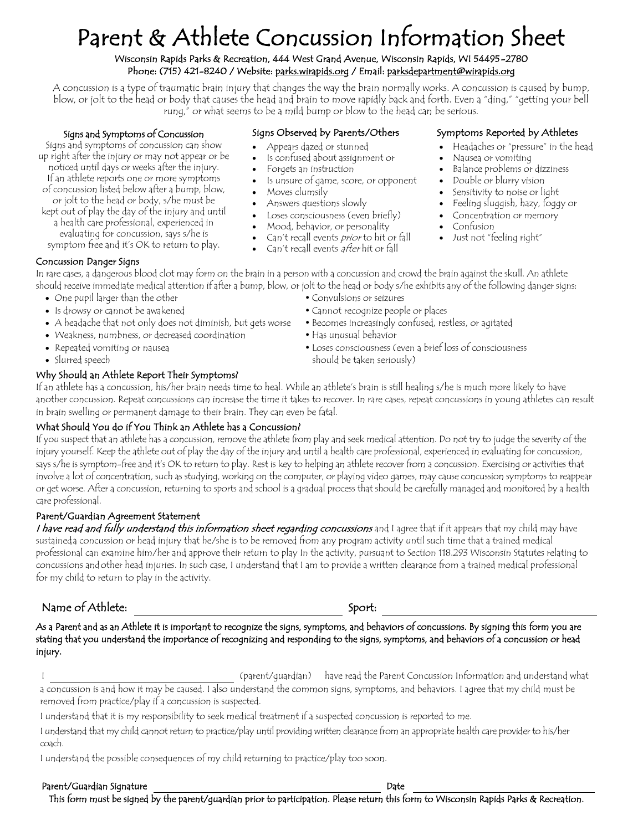# Parent & Athlete Concussion Information Sheet

#### Wisconsin Rapids Parks & Recreation, 444 West Grand Avenue, Wisconsin Rapids, WI 54495-2780 Phone: (715) 421-8240 / Website: parks.wirapids.org / Email: parksdepartment@wirapids.org

A concussion is a type of traumatic brain injury that changes the way the brain normally works. A concussion is caused by bump, blow, or jolt to the head or body that causes the head and brain to move rapidly back and forth. Even a "ding," "getting your bell rung," or what seems to be a mild bump or blow to the head can be serious.

#### Signs and Symptoms of Concussion

Signs and symptoms of concussion can show up right after the injury or may not appear or be noticed until days or weeks after the injury. If an athlete reports one or more symptoms of concussion listed below after a bump, blow, or jolt to the head or body, s/he must be kept out of play the day of the injury and until a health care professional, experienced in

- evaluating for concussion, says s/he is symptom free and it's OK to return to play.
- 

#### Signs Observed by Parents/Others Symptoms Reported by Athletes

- 
- Is confused about assignment or •
- Forgets an instruction
- Is unsure of game, score, or opponent Double or blurry vision
- 
- 
- Answers questions slowly Feeling sluggish, hazy, foggy or • Loses consciousness (even briefly)
- 
- Mood, behavior, or personality problems • Can't recall events *prior* to hit or fall • Just not "feeling right"
- Can't recall events after hit or fall
- Appears dazed or stunned Headaches or "pressure" in the head
	- Nausea or vomiting •
- Forgets an instruction Balance problems or dizziness
	-
- Moves clumsily **•** Sensitivity to noise or light
	-
	-
	- Confusion •
	-

Concussion Danger Signs

In rare cases, a dangerous blood clot may form on the brain in a person with a concussion and crowd the brain against the skull. An athlete should receive immediate medical attention if after a bump, blow, or jolt to the head or body s/he exhibits any of the following danger signs:

- One pupil larger than the other **Convulsions** or seizures
- 
- A headache that not only does not diminish, but gets worse Becomes increasingly confused, restless, or agitated
- Weakness, numbness, or decreased coordination Has unusual behavior
- 
- 

#### Why Should an Athlete Report Their Symptoms?

If an athlete has a concussion, his/her brain needs time to heal. While an athlete's brain is still healing s/he is much more likely to have another concussion. Repeat concussions can increase the time it takes to recover. In rare cases, repeat concussions in young athletes can result in brain swelling or permanent damage to their brain. They can even be fatal.

#### What Should You do if You Think an Athlete has a Concussion?

If you suspect that an athlete has a concussion, remove the athlete from play and seek medical attention. Do not try to judge the severity of the injury yourself. Keep the athlete out of play the day of the injury and until a health care professional, experienced in evaluating for concussion, says s/he is symptom-free and it's OK to return to play. Rest is key to helping an athlete recover from a concussion. Exercising or activities that involve a lot of concentration, such as studying, working on the computer, or playing video games, may cause concussion symptoms to reappear or get worse. After a concussion, returning to sports and school is a gradual process that should be carefully managed and monitored by a health care professional.

#### Parent/Guardian Agreement Statement

I have read and fully understand this information sheet regarding concussions and I agree that if it appears that my child may have sustaineda concussion or head injury that he/she is to be removed from any program activity until such time that a trained medical professional can examine him/her and approve their return to play In the activity, pursuant to Section 118.293 Wisconsin Statutes relating to concussions andother head injuries. In such case, I understand that I am to provide a written clearance from a trained medical professional for my child to return to play in the activity.

### Name of Athlete:

Sport:

As a Parent and as an Athlete it is important to recognize the signs, symptoms, and behaviors of concussions. By signing this form you are stating that you understand the importance of recognizing and responding to the signs, symptoms, and behaviors of a concussion or head injury.

I (parent/guardian) have read the Parent Concussion Information and understand what a concussion is and how it may be caused. I also understand the common signs, symptoms, and behaviors. I agree that my child must be removed from practice/play if a concussion is suspected.

I understand that it is my responsibility to seek medical treatment if a suspected concussion is reported to me.

I understand that my child cannot return to practice/play until providing written clearance from an appropriate health care provider to his/her coach.

I understand the possible consequences of my child returning to practice/play too soon.

#### Parent/Guardian Signature

Date

This form must be signed by the parent/guardian prior to participation. Please return this form to Wisconsin Rapids Parks & Recreation.

- Is drowsy or cannot be awakened Cannot recognize people or places
- Repeated vomiting or nausea Loses consciousness (even a brief loss of consciousness Slurred speech should be taken seriously)